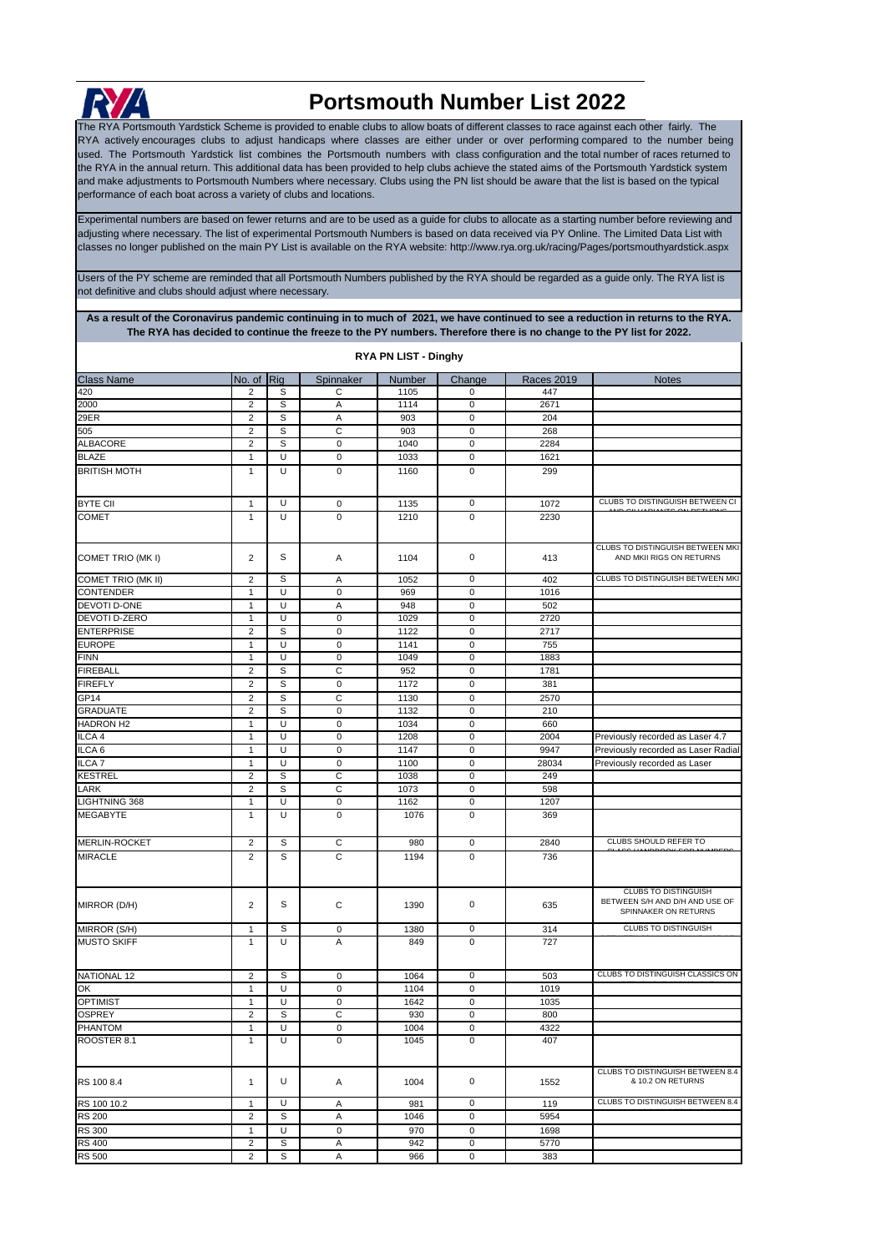

## **Portsmouth Number List 2022**

The RYA Portsmouth Yardstick Scheme is provided to enable clubs to allow boats of different classes to race against each other fairly. The RYA actively encourages clubs to adjust handicaps where classes are either under or over performing compared to the number being used. The Portsmouth Yardstick list combines the Portsmouth numbers with class configuration and the total number of races returned to the RYA in the annual return. This additional data has been provided to help clubs achieve the stated aims of the Portsmouth Yardstick system and make adjustments to Portsmouth Numbers where necessary. Clubs using the PN list should be aware that the list is based on the typical performance of each boat across a variety of clubs and locations.

[Experimental numbers are based](http://www.rya.org.uk/racing/Pages/portsmouthyardstick.aspx) on fewer returns and are to be used as a guide for clubs to allocate as a starting number before reviewing and [adjusting where necessary. The lis](http://www.rya.org.uk/racing/Pages/portsmouthyardstick.aspx)t of experimental Portsmouth Numbers is based on data received via PY Online. The Limited Data List with [classes no longer published on th](http://www.rya.org.uk/racing/Pages/portsmouthyardstick.aspx)e main PY List is available on the RYA website: http://www.rya.org.uk/racing/Pages/portsmouthyardstick.aspx

Users of the PY scheme are reminded that all Portsmouth Numbers published by the RYA should be regarded as a guide only. The RYA list is not definitive and clubs should adjust where necessary.

**As a result of the Coronavirus pandemic continuing in to much of 2021, we have continued to see a reduction in returns to the RYA. The RYA has decided to continue the freeze to the PY numbers. Therefore there is no change to the PY list for 2022. RYA PN LIST - Dinghy**

| <b>KIA FN LISI - DIIIYIY</b> |                |   |                |        |                     |                   |                                                                                       |  |  |
|------------------------------|----------------|---|----------------|--------|---------------------|-------------------|---------------------------------------------------------------------------------------|--|--|
| <b>Class Name</b>            | No. of Rig     |   | Spinnaker      | Number | Change              | <b>Races 2019</b> | <b>Notes</b>                                                                          |  |  |
| 420                          | 2              | S | С              | 1105   | 0                   | 447               |                                                                                       |  |  |
| 2000                         | $\overline{2}$ | S | Α              | 1114   | 0                   | 2671              |                                                                                       |  |  |
| 29ER                         | $\overline{2}$ | S | Α              | 903    | $\mathbf 0$         | 204               |                                                                                       |  |  |
| 505                          | $\overline{2}$ | S | C              | 903    | $\mathbf 0$         | 268               |                                                                                       |  |  |
| <b>ALBACORE</b>              | $\overline{2}$ | S | $\mathbf 0$    | 1040   | $\mathbf 0$         | 2284              |                                                                                       |  |  |
| <b>BLAZE</b>                 | $\mathbf{1}$   | U | 0              | 1033   | 0                   | 1621              |                                                                                       |  |  |
| <b>BRITISH MOTH</b>          | $\mathbf{1}$   | U | $\mathbf 0$    | 1160   | 0                   | 299               |                                                                                       |  |  |
|                              |                |   |                |        |                     |                   |                                                                                       |  |  |
| <b>BYTE CII</b>              | $\mathbf{1}$   | U | 0              | 1135   | 0                   | 1072              | CLUBS TO DISTINGUISH BETWEEN CI                                                       |  |  |
| <b>COMET</b>                 | $\mathbf{1}$   | U | $\mathbf 0$    | 1210   | $\mathbf 0$         | 2230              |                                                                                       |  |  |
|                              |                |   |                |        |                     |                   |                                                                                       |  |  |
|                              |                |   |                |        |                     |                   | CLUBS TO DISTINGUISH BETWEEN MKI                                                      |  |  |
| COMET TRIO (MKI)             | $\overline{2}$ | S | Α              | 1104   | 0                   | 413               | AND MKII RIGS ON RETURNS                                                              |  |  |
| COMET TRIO (MK II)           | $\overline{2}$ | S | Α              | 1052   | 0                   | 402               | CLUBS TO DISTINGUISH BETWEEN MKI                                                      |  |  |
| <b>CONTENDER</b>             | 1              | U | $\mathbf 0$    | 969    | $\mathbf 0$         | 1016              |                                                                                       |  |  |
| DEVOTI D-ONE                 | $\mathbf{1}$   | U | Α              | 948    | 0                   | 502               |                                                                                       |  |  |
| DEVOTI D-ZERO                | 1              | U | $\mathbf 0$    | 1029   | $\mathbf 0$         | 2720              |                                                                                       |  |  |
| <b>ENTERPRISE</b>            | $\overline{2}$ | S | $\mathbf 0$    | 1122   | $\mathbf 0$         | 2717              |                                                                                       |  |  |
| <b>EUROPE</b>                | $\mathbf{1}$   | U | $\mathbf 0$    | 1141   | $\mathbf 0$         | 755               |                                                                                       |  |  |
| <b>FINN</b>                  | $\mathbf{1}$   | U | $\mathbf 0$    | 1049   | $\mathbf 0$         | 1883              |                                                                                       |  |  |
| <b>FIREBALL</b>              | $\overline{2}$ | S | C              | 952    | 0                   | 1781              |                                                                                       |  |  |
| <b>FIREFLY</b>               | $\overline{2}$ | S | $\mathbf 0$    | 1172   | $\mathbf 0$         | 381               |                                                                                       |  |  |
| GP14                         | $\overline{2}$ | S | C              | 1130   | $\mathbf 0$         | 2570              |                                                                                       |  |  |
| <b>GRADUATE</b>              | $\overline{2}$ | S | $\mathbf 0$    | 1132   | $\mathbf 0$         | 210               |                                                                                       |  |  |
| <b>HADRON H2</b>             | $\mathbf{1}$   | U | 0              | 1034   | 0                   | 660               |                                                                                       |  |  |
| ILCA 4                       | $\mathbf{1}$   | U | $\mathbf 0$    | 1208   | $\mathbf 0$         | 2004              | Previously recorded as Laser 4.7                                                      |  |  |
| ILCA <sub>6</sub>            | 1              | U | 0              | 1147   | $\mathbf 0$         | 9947              | Previously recorded as Laser Radial                                                   |  |  |
|                              |                | U | $\mathbf 0$    |        | $\mathbf 0$         | 28034             |                                                                                       |  |  |
| ILCA <sub>7</sub>            | $\mathbf{1}$   |   |                | 1100   |                     |                   | Previously recorded as Laser                                                          |  |  |
| <b>KESTREL</b>               | $\overline{2}$ | S | С              | 1038   | $\pmb{0}$           | 249               |                                                                                       |  |  |
| LARK                         | $\overline{2}$ | S | C              | 1073   | $\pmb{0}$           | 598               |                                                                                       |  |  |
| LIGHTNING 368                | $\mathbf{1}$   | U | 0              | 1162   | 0                   | 1207              |                                                                                       |  |  |
| <b>MEGABYTE</b>              | $\mathbf{1}$   | U | $\mathbf 0$    | 1076   | $\mathsf 0$         | 369               |                                                                                       |  |  |
| MERLIN-ROCKET                | $\overline{2}$ | S | С              | 980    | $\mathsf{O}\xspace$ | 2840              | CLUBS SHOULD REFER TO                                                                 |  |  |
| <b>MIRACLE</b>               | $\overline{2}$ | S | C              | 1194   | $\mathbf 0$         | 736               |                                                                                       |  |  |
|                              |                |   |                |        |                     |                   |                                                                                       |  |  |
| MIRROR (D/H)                 | $\overline{2}$ | S | C              | 1390   | 0                   | 635               | <b>CLUBS TO DISTINGUISH</b><br>BETWEEN S/H AND D/H AND USE OF<br>SPINNAKER ON RETURNS |  |  |
| MIRROR (S/H)                 | 1              | S | 0              | 1380   | 0                   | 314               | CLUBS TO DISTINGUISH                                                                  |  |  |
| <b>MUSTO SKIFF</b>           | 1              | U | Α              | 849    | 0                   | 727               |                                                                                       |  |  |
| NATIONAL 12                  | $\overline{2}$ | S | 0              | 1064   | 0                   | 503               | CLUBS TO DISTINGUISH CLASSICS ON                                                      |  |  |
| OK                           | $\mathbf{1}$   | U | 0              | 1104   | 0                   | 1019              |                                                                                       |  |  |
| <b>OPTIMIST</b>              | 1              | U | $\mathbf 0$    | 1642   | $\mathbf 0$         | 1035              |                                                                                       |  |  |
| OSPREY                       | $\overline{2}$ | S | С              | 930    | $\mathbf 0$         | 800               |                                                                                       |  |  |
| <b>PHANTOM</b>               | 1              | U | 0              | 1004   | 0                   | 4322              |                                                                                       |  |  |
| ROOSTER 8.1                  | $\mathbf{1}$   | U | $\mathbf 0$    | 1045   | 0                   | 407               |                                                                                       |  |  |
|                              |                |   |                |        |                     |                   |                                                                                       |  |  |
| RS 100 8.4                   | $\mathbf{1}$   | U | Α              | 1004   | 0                   | 1552              | CLUBS TO DISTINGUISH BETWEEN 8.4<br>& 10.2 ON RETURNS                                 |  |  |
| RS 100 10.2                  | $\mathbf{1}$   | U | Α              | 981    | 0                   | 119               | CLUBS TO DISTINGUISH BETWEEN 8.4                                                      |  |  |
| <b>RS 200</b>                | $\overline{2}$ | S | Α              | 1046   | 0                   | 5954              |                                                                                       |  |  |
| <b>RS 300</b>                | $\mathbf{1}$   | U | $\pmb{0}$      | 970    | $\pmb{0}$           | 1698              |                                                                                       |  |  |
| <b>RS 400</b>                | $\overline{c}$ | S | Α              | 942    | $\pmb{0}$           | 5770              |                                                                                       |  |  |
| <b>RS 500</b>                | $\overline{2}$ | S | $\overline{A}$ | 966    | $\mathsf 0$         | 383               |                                                                                       |  |  |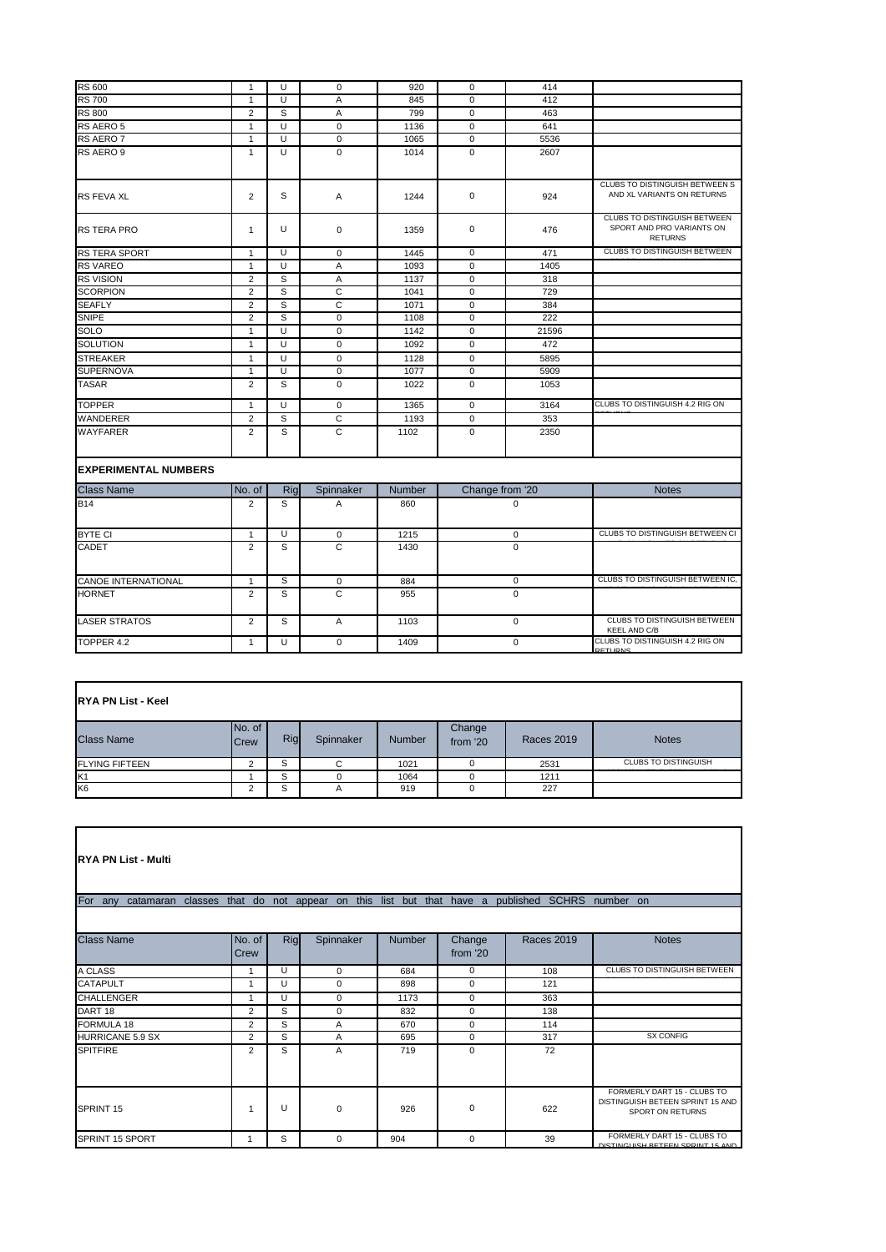| <b>RS 600</b>               | $\mathbf{1}$   | U              | $\mathbf 0$    | 920    | $\mathbf 0$     | 414         |                                                                             |
|-----------------------------|----------------|----------------|----------------|--------|-----------------|-------------|-----------------------------------------------------------------------------|
| <b>RS 700</b>               | $\mathbf{1}$   | U              | A              | 845    | $\mathbf 0$     | 412         |                                                                             |
| <b>RS 800</b>               | $\overline{2}$ | S              | A              | 799    | $\mathbf 0$     | 463         |                                                                             |
| RS AERO 5                   | $\mathbf{1}$   | U              | $\mathbf 0$    | 1136   | $\mathbf 0$     | 641         |                                                                             |
| RS AERO 7                   | $\mathbf{1}$   | U              | $\mathbf 0$    | 1065   | $\mathbf 0$     | 5536        |                                                                             |
| RS AERO 9                   | $\mathbf{1}$   | U              | $\Omega$       | 1014   | $\Omega$        | 2607        |                                                                             |
| <b>RS FEVA XL</b>           | $\overline{2}$ | S              | A              | 1244   | $\mathbf 0$     | 924         | CLUBS TO DISTINGUISH BETWEEN S<br>AND XL VARIANTS ON RETURNS                |
| <b>RS TERA PRO</b>          | $\mathbf{1}$   | U              | $\mathbf 0$    | 1359   | 0               | 476         | CLUBS TO DISTINGUISH BETWEEN<br>SPORT AND PRO VARIANTS ON<br><b>RETURNS</b> |
| RS TERA SPORT               | $\mathbf{1}$   | $\overline{U}$ | $\Omega$       | 1445   | $\mathbf 0$     | 471         | <b>CLUBS TO DISTINGUISH BETWEEN</b>                                         |
| <b>RS VAREO</b>             | $\mathbf{1}$   | U              | Α              | 1093   | 0               | 1405        |                                                                             |
| <b>RS VISION</b>            | $\overline{2}$ | S              | $\overline{A}$ | 1137   | $\Omega$        | 318         |                                                                             |
| <b>SCORPION</b>             | $\overline{2}$ | S              | $\mathsf{C}$   | 1041   | $\mathbf 0$     | 729         |                                                                             |
| <b>SEAFLY</b>               | $\overline{2}$ | S              | C              | 1071   | $\mathbf 0$     | 384         |                                                                             |
| SNIPE                       | $\overline{2}$ | S              | $\mathbf 0$    | 1108   | $\mathbf 0$     | 222         |                                                                             |
| SOLO                        | $\mathbf{1}$   | $\overline{U}$ | $\mathbf 0$    | 1142   | $\Omega$        | 21596       |                                                                             |
| <b>SOLUTION</b>             | $\mathbf{1}$   | U              | $\mathbf 0$    | 1092   | $\mathbf 0$     | 472         |                                                                             |
| <b>STREAKER</b>             | 1              | U              | $\mathbf 0$    | 1128   | $\mathbf 0$     | 5895        |                                                                             |
| <b>SUPERNOVA</b>            | $\mathbf{1}$   | U              | $\Omega$       | 1077   | $\Omega$        | 5909        |                                                                             |
| <b>TASAR</b>                | $\overline{2}$ | S              | $\mathbf 0$    | 1022   | $\mathbf 0$     | 1053        |                                                                             |
| <b>TOPPER</b>               | $\mathbf{1}$   | U              | $\mathbf 0$    | 1365   | $\mathbf 0$     | 3164        | CLUBS TO DISTINGUISH 4.2 RIG ON                                             |
| <b>WANDERER</b>             | $\overline{2}$ | S              | C              | 1193   | $\mathbf 0$     | 353         |                                                                             |
| WAYFARER                    | $\overline{2}$ | S              | C              | 1102   | $\mathbf 0$     | 2350        |                                                                             |
| <b>EXPERIMENTAL NUMBERS</b> |                |                |                |        |                 |             |                                                                             |
| <b>Class Name</b>           | No. of         | Rig            | Spinnaker      | Number | Change from '20 |             | <b>Notes</b>                                                                |
| <b>B14</b>                  | $\overline{2}$ | S              | A              | 860    | $\Omega$        |             |                                                                             |
| <b>BYTE CI</b>              | $\mathbf{1}$   | U              | $\mathbf 0$    | 1215   | $\mathbf 0$     |             | CLUBS TO DISTINGUISH BETWEEN CI                                             |
| CADET                       | $\overline{2}$ | S              | $\overline{C}$ | 1430   | $\mathbf 0$     |             |                                                                             |
| <b>CANOE INTERNATIONAL</b>  | $\mathbf{1}$   | S              | 0              | 884    | $\mathsf 0$     |             | CLUBS TO DISTINGUISH BETWEEN IC.                                            |
| <b>HORNET</b>               | $\overline{2}$ | S              | $\overline{C}$ | 955    | $\mathbf 0$     |             |                                                                             |
| <b>LASER STRATOS</b>        | $\overline{2}$ | S              | Α              | 1103   |                 | $\mathbf 0$ | <b>CLUBS TO DISTINGUISH BETWEEN</b><br><b>KEEL AND C/B</b>                  |
| TOPPER 4.2                  | $\mathbf{1}$   | U              | $\Omega$       | 1409   |                 | 0           | CLUBS TO DISTINGUISH 4.2 RIG ON<br><b>DETLIDNS</b>                          |

| <b>IRYA PN List - Keel</b> |                       |     |           |               |                    |                   |                             |  |  |
|----------------------------|-----------------------|-----|-----------|---------------|--------------------|-------------------|-----------------------------|--|--|
| <b>Class Name</b>          | No. of<br><b>Crew</b> | Rig | Spinnaker | <b>Number</b> | Change<br>from '20 | <b>Races 2019</b> | <b>Notes</b>                |  |  |
| <b>FLYING FIFTEEN</b>      | $\sim$                | S   | $\cap$    | 1021          |                    | 2531              | <b>CLUBS TO DISTINGUISH</b> |  |  |
| K <sub>1</sub>             |                       | S   |           | 1064          |                    | 1211              |                             |  |  |
| K <sub>6</sub>             |                       | S   | A         | 919           | 0                  | 227               |                             |  |  |

| <b>RYA PN List - Multi</b>                                                                          |                |     |             |               |                    |                   |                                                                                     |  |  |
|-----------------------------------------------------------------------------------------------------|----------------|-----|-------------|---------------|--------------------|-------------------|-------------------------------------------------------------------------------------|--|--|
| For any catamaran classes that do not appear on this list but that have a published SCHRS number on |                |     |             |               |                    |                   |                                                                                     |  |  |
|                                                                                                     |                |     |             |               |                    |                   |                                                                                     |  |  |
| <b>Class Name</b>                                                                                   | No. of<br>Crew | Rig | Spinnaker   | <b>Number</b> | Change<br>from '20 | <b>Races 2019</b> | <b>Notes</b>                                                                        |  |  |
| A CLASS                                                                                             | 1              | U   | 0           | 684           | $\mathbf 0$        | 108               | CLUBS TO DISTINGUISH BETWEEN                                                        |  |  |
| CATAPULT                                                                                            | 1              | U   | 0           | 898           | 0                  | 121               |                                                                                     |  |  |
| <b>CHALLENGER</b>                                                                                   |                | U   | 0           | 1173          | 0                  | 363               |                                                                                     |  |  |
| DART <sub>18</sub>                                                                                  | $\overline{2}$ | S   | $\mathbf 0$ | 832           | 0                  | 138               |                                                                                     |  |  |
| <b>FORMULA 18</b>                                                                                   | $\overline{2}$ | S   | A           | 670           | $\mathbf 0$        | 114               |                                                                                     |  |  |
| <b>HURRICANE 5.9 SX</b>                                                                             | $\overline{2}$ | S   | A           | 695           | 0                  | 317               | <b>SX CONFIG</b>                                                                    |  |  |
| <b>SPITFIRE</b>                                                                                     | $\overline{2}$ | S   | A           | 719           | $\Omega$           | 72                |                                                                                     |  |  |
| SPRINT 15                                                                                           | 1              | U   | 0           | 926           | 0                  | 622               | FORMERLY DART 15 - CLUBS TO<br>DISTINGUISH BETEEN SPRINT 15 AND<br>SPORT ON RETURNS |  |  |
| SPRINT 15 SPORT                                                                                     | 1              | S   | $\Omega$    | 904           | 0                  | 39                | FORMERLY DART 15 - CLUBS TO<br>DISTINGHISH BETEEN SODINT 15 AND                     |  |  |